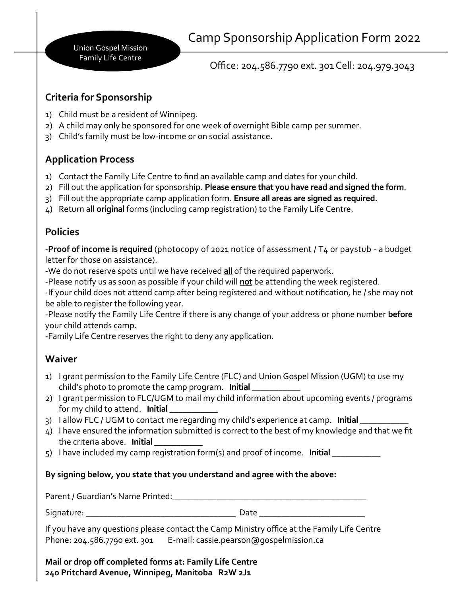Union Gospel Mission Family Life Centre

Office: 204.586.7790 ext. 301 Cell: 204.979.3043

## **Criteria for Sponsorship**

- 1) Child must be a resident of Winnipeg.
- 2) A child may only be sponsored for one week of overnight Bible camp per summer.
- 3) Child's family must be low-income or on social assistance.

# **Application Process**

- 1) Contact the Family Life Centre to find an available camp and dates for your child.
- 2) Fill out the application for sponsorship. **Please ensure that you have read and signed the form**.
- 3) Fill out the appropriate camp application form. **Ensure all areas are signed as required.**
- 4) Return all **original** forms (including camp registration) to the Family Life Centre.

## **Policies**

-**Proof of income is required** (photocopy of 2021 notice of assessment / T4 or paystub - a budget letter for those on assistance).

-We do not reserve spots until we have received **all** of the required paperwork.

-Please notify us as soon as possible if your child will **not** be attending the week registered.

-If your child does not attend camp after being registered and without notification, he / she may not be able to register the following year.

-Please notify the Family Life Centre if there is any change of your address or phone number **before** your child attends camp.

-Family Life Centre reserves the right to deny any application.

# **Waiver**

- 1) I grant permission to the Family Life Centre (FLC) and Union Gospel Mission (UGM) to use my child's photo to promote the camp program. **Initial \_\_\_\_\_\_\_\_\_\_\_**
- 2) I grant permission to FLC/UGM to mail my child information about upcoming events / programs for my child to attend. **Initial \_\_\_\_\_\_\_\_\_\_\_**
- 3) I allow FLC / UGM to contact me regarding my child's experience at camp. **Initial**
- 4) I have ensured the information submitted is correct to the best of my knowledge and that we fit the criteria above. **Initial \_\_\_\_\_\_\_\_\_\_\_**
- 5) I have included my camp registration form(s) and proof of income. **Initial \_\_\_\_\_\_\_\_\_\_\_**

### **By signing below, you state that you understand and agree with the above:**

Parent / Guardian's Name Printed: Change Change of the Change of the Change of the Change of the Change of the

Signature: \_\_\_\_\_\_\_\_\_\_\_\_\_\_\_\_\_\_\_\_\_\_\_\_\_\_\_\_\_\_\_\_\_\_ Date \_\_\_\_\_\_\_\_\_\_\_\_\_\_\_\_\_\_\_\_\_\_\_\_

If you have any questions please contact the Camp Ministry office at the Family Life Centre Phone: 204.586.7790 ext. 301 E-mail: cassie.pearson@gospelmission.ca

**Mail or drop off completed forms at: Family Life Centre 240 Pritchard Avenue, Winnipeg, Manitoba R2W 2J1**